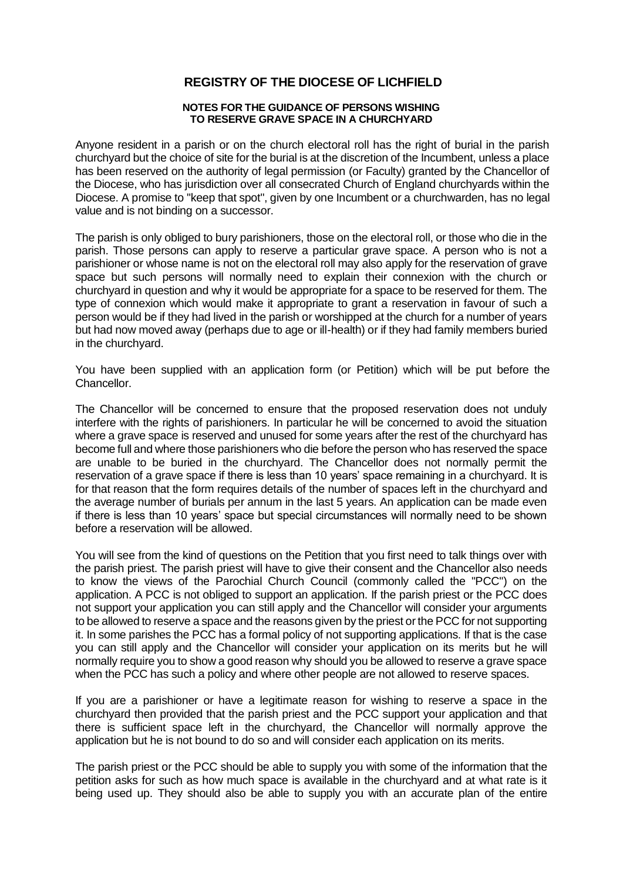## **REGISTRY OF THE DIOCESE OF LICHFIELD**

## **NOTES FOR THE GUIDANCE OF PERSONS WISHING TO RESERVE GRAVE SPACE IN A CHURCHYARD**

Anyone resident in a parish or on the church electoral roll has the right of burial in the parish churchyard but the choice of site for the burial is at the discretion of the Incumbent, unless a place has been reserved on the authority of legal permission (or Faculty) granted by the Chancellor of the Diocese, who has jurisdiction over all consecrated Church of England churchyards within the Diocese. A promise to "keep that spot", given by one Incumbent or a churchwarden, has no legal value and is not binding on a successor.

The parish is only obliged to bury parishioners, those on the electoral roll, or those who die in the parish. Those persons can apply to reserve a particular grave space. A person who is not a parishioner or whose name is not on the electoral roll may also apply for the reservation of grave space but such persons will normally need to explain their connexion with the church or churchyard in question and why it would be appropriate for a space to be reserved for them. The type of connexion which would make it appropriate to grant a reservation in favour of such a person would be if they had lived in the parish or worshipped at the church for a number of years but had now moved away (perhaps due to age or ill-health) or if they had family members buried in the churchyard.

You have been supplied with an application form (or Petition) which will be put before the Chancellor.

The Chancellor will be concerned to ensure that the proposed reservation does not unduly interfere with the rights of parishioners. In particular he will be concerned to avoid the situation where a grave space is reserved and unused for some years after the rest of the churchyard has become full and where those parishioners who die before the person who has reserved the space are unable to be buried in the churchyard. The Chancellor does not normally permit the reservation of a grave space if there is less than 10 years' space remaining in a churchyard. It is for that reason that the form requires details of the number of spaces left in the churchyard and the average number of burials per annum in the last 5 years. An application can be made even if there is less than 10 years' space but special circumstances will normally need to be shown before a reservation will be allowed.

You will see from the kind of questions on the Petition that you first need to talk things over with the parish priest. The parish priest will have to give their consent and the Chancellor also needs to know the views of the Parochial Church Council (commonly called the "PCC") on the application. A PCC is not obliged to support an application. If the parish priest or the PCC does not support your application you can still apply and the Chancellor will consider your arguments to be allowed to reserve a space and the reasons given by the priest or the PCC for not supporting it. In some parishes the PCC has a formal policy of not supporting applications. If that is the case you can still apply and the Chancellor will consider your application on its merits but he will normally require you to show a good reason why should you be allowed to reserve a grave space when the PCC has such a policy and where other people are not allowed to reserve spaces.

If you are a parishioner or have a legitimate reason for wishing to reserve a space in the churchyard then provided that the parish priest and the PCC support your application and that there is sufficient space left in the churchyard, the Chancellor will normally approve the application but he is not bound to do so and will consider each application on its merits.

The parish priest or the PCC should be able to supply you with some of the information that the petition asks for such as how much space is available in the churchyard and at what rate is it being used up. They should also be able to supply you with an accurate plan of the entire